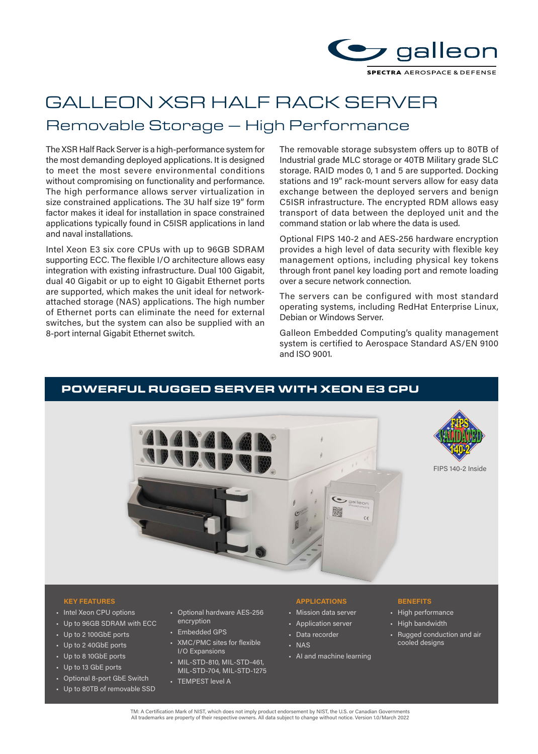

# GALLEON XSR HALF RACK SERVER

# Removable Storage – High Performance

The XSR Half Rack Server is a high-performance system for the most demanding deployed applications. It is designed to meet the most severe environmental conditions without compromising on functionality and performance. The high performance allows server virtualization in size constrained applications. The 3U half size 19" form factor makes it ideal for installation in space constrained applications typically found in C5ISR applications in land and naval installations.

Intel Xeon E3 six core CPUs with up to 96GB SDRAM supporting ECC. The flexible I/O architecture allows easy integration with existing infrastructure. Dual 100 Gigabit, dual 40 Gigabit or up to eight 10 Gigabit Ethernet ports are supported, which makes the unit ideal for networkattached storage (NAS) applications. The high number of Ethernet ports can eliminate the need for external switches, but the system can also be supplied with an 8-port internal Gigabit Ethernet switch.

The removable storage subsystem offers up to 80TB of Industrial grade MLC storage or 40TB Military grade SLC storage. RAID modes 0, 1 and 5 are supported. Docking stations and 19" rack-mount servers allow for easy data exchange between the deployed servers and benign C5ISR infrastructure. The encrypted RDM allows easy transport of data between the deployed unit and the command station or lab where the data is used.

Optional FIPS 140-2 and AES-256 hardware encryption provides a high level of data security with flexible key management options, including physical key tokens through front panel key loading port and remote loading over a secure network connection.

The servers can be configured with most standard operating systems, including RedHat Enterprise Linux, Debian or Windows Server.

Galleon Embedded Computing's quality management system is certified to Aerospace Standard AS/EN 9100 and ISO 9001.

# POWERFUL RUGGED SERVER WITH XEON E3 CPU





FIPS 140-2 Inside

### **KEY FEATURES APPLICATIONS BENEFITS**

- Intel Xeon CPU options
- Up to 96GB SDRAM with ECC
- Up to 2 100GbE ports
- Up to 2 40GbE ports
- Up to 8 10GbE ports
- Up to 13 GbE ports
- Optional 8-port GbE Switch
- Up to 80TB of removable SSD
- Optional hardware AES-256 encryption
- Embedded GPS
- XMC/PMC sites for flexible I/O Expansions
- MIL-STD-810, MIL-STD-461, MIL-STD-704, MIL-STD-1275
- TEMPEST level A

- Mission data server
- Application server
- Data recorder
- NAS
- AI and machine learning

- High performance
- High bandwidth
- Rugged conduction and air cooled designs

TM: A Certification Mark of NIST, which does not imply product endorsement by NIST, the U.S. or Canadian Governments All trademarks are property of their respective owners. All data subject to change without notice. Version 1.0/March 2022